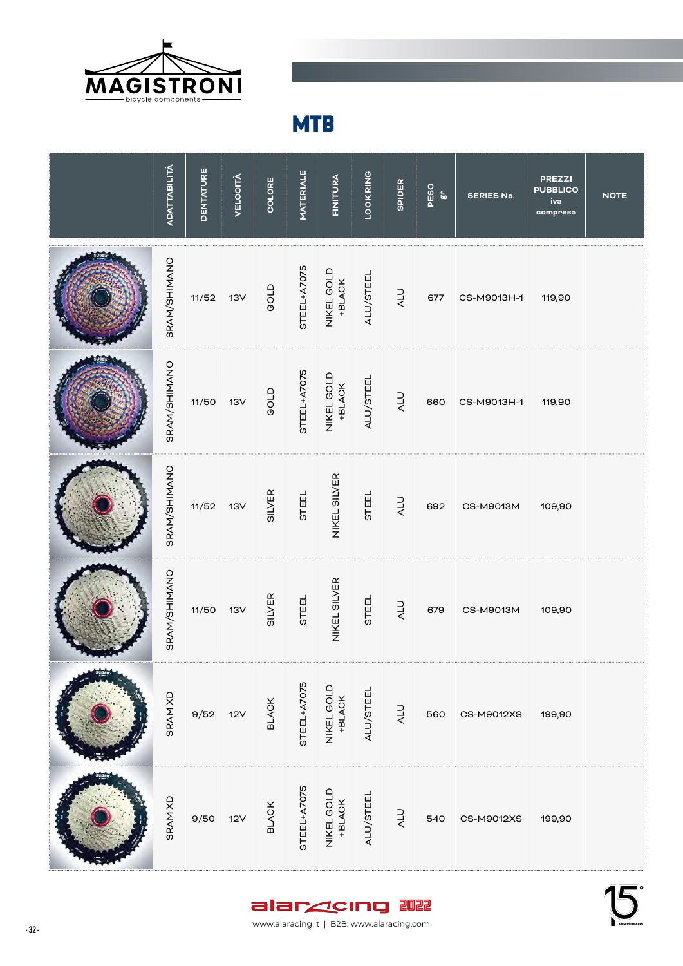

| <b>ADATTABILITÀ</b> | <b>DENTATURE</b> | VELOCITÀ | COLORE        | <b>MATERIALE</b> | FINITURA             | LOOK RING | <b>SPIDER</b>  | PESO<br>gr | <b>SERIES No.</b> | <b>PREZZI</b><br><b>PUBBLICO</b><br>iva<br>compresa | <b>NOTE</b> |
|---------------------|------------------|----------|---------------|------------------|----------------------|-----------|----------------|------------|-------------------|-----------------------------------------------------|-------------|
| SRAM/SHIMANO        | 11/52            | 13V      | GOLD          | STEEL+A7075      | NIKEL GOLD<br>+BLACK | ALU/STEEL | ALU            | 677        | CS-M9013H-1       | 119,90                                              |             |
| SRAM/SHIMANO        | 11/50            | 13V      | GOLD          | STEEL+A7075      | NIKEL GOLD<br>+BLACK | ALU/STEEL | ALU            | 660        | CS-M9013H-1       | 119,90                                              |             |
| SRAM/SHIMANO        | 11/52            | 13V      | <b>SILVER</b> | STEEL            | NIKEL SILVER         | STEEL     | ALU            | 692        | CS-M9013M         | 109,90                                              |             |
| SRAM/SHIMANO        | 11/50            | 13V      | SILVER        | STEEL            | NIKEL SILVER         | STEEL     | ALU            | 679        | CS-M9013M         | 109,90                                              |             |
| <b>SRAM XD</b>      | $9/52$ 12V       |          | <b>BLACK</b>  | STEEL+A7075      | NIKEL GOLD<br>+BLACK | ALU/STEEL | $\overline{4}$ | 560        | <b>CS-M9012XS</b> | 199,90                                              |             |
| <b>SRAM XD</b>      | 9/50             | 12V      | <b>BLACK</b>  | STEEL+A7075      | NIKEL GOLD<br>+BLACK | ALU/STEEL | ALU            | 540        | CS-M9012XS        | 199,90                                              |             |





- 32 - 32 - 32 - www.alaracing.it | B2B: www.alaracing.com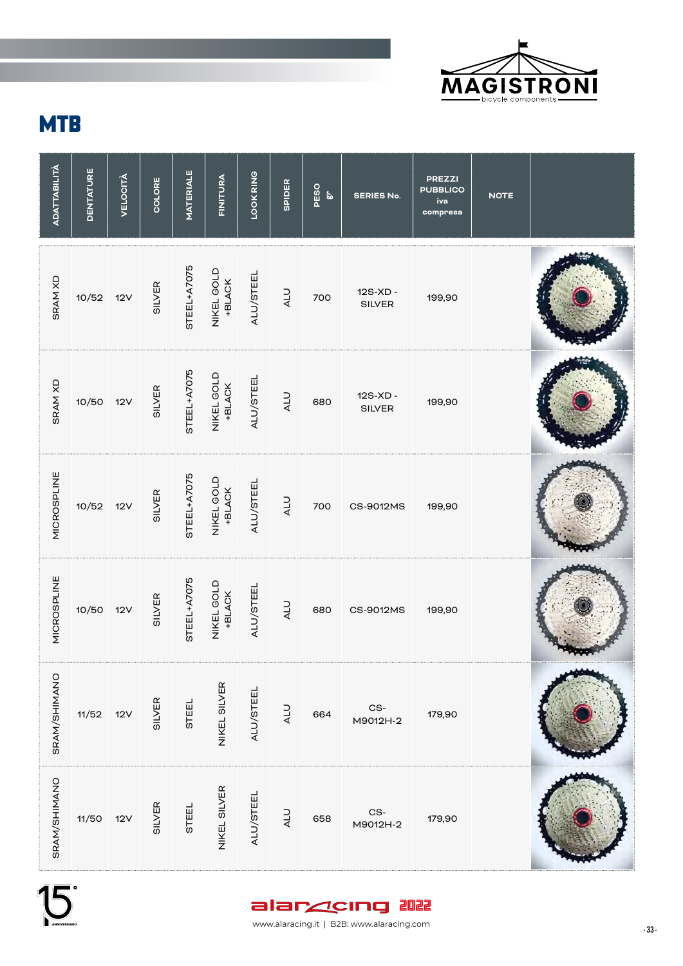

| <b>ADATTABILITÀ</b> | <b>DENTATURE</b> | <b>VELOCITÀ</b> | COLORE        | MATERIALE   | FINITURA             | LOOK RING | <b>SPIDER</b> | PESO<br>gr | <b>SERIES No.</b>         | <b>PREZZI</b><br><b>PUBBLICO</b><br>iva<br>compresa | <b>NOTE</b> |  |
|---------------------|------------------|-----------------|---------------|-------------|----------------------|-----------|---------------|------------|---------------------------|-----------------------------------------------------|-------------|--|
| <b>SRAM XD</b>      | 10/52            | 12V             | SILVER        | STEEL+A7075 | NIKEL GOLD<br>+BLACK | ALU/STEEL | <b>UTK</b>    | 700        | 12S-XD -<br><b>SILVER</b> | 199,90                                              |             |  |
| <b>SRAM XD</b>      | 10/50            | 12V             | SILVER        | STEEL+A7075 | NIKEL GOLD<br>+BLACK | ALU/STEEL | <b>ALU</b>    | 680        | 12S-XD -<br><b>SILVER</b> | 199,90                                              |             |  |
| MICROSPLINE         | 10/52            | 12V             | <b>SILVER</b> | STEEL+A7075 | NIKEL GOLD<br>+BLACK | ALU/STEEL | <b>ALU</b>    | 700        | CS-9012MS                 | 199,90                                              |             |  |
| MICROSPLINE         | 10/50            | 12V             | <b>SILVER</b> | STEEL+A7075 | NIKEL GOLD<br>+BLACK | ALU/STEEL | <b>UTK</b>    | 680        | CS-9012MS                 | 199,90                                              |             |  |
| SRAM/SHIMANO        | 11/52            | 12V             | SILVER        | STEEL       | NIKEL SILVER         | ALU/STEEL | ALU           | 664        | CS-<br>M9012H-2           | 179,90                                              |             |  |
| SRAM/SHIMANO        | 11/50            | 12V             | SILVER        | STEEL       | NIKEL SILVER         | ALU/STEEL | ALU           | 658        | CS-<br>M9012H-2           | 179,90                                              |             |  |





- 33 - www.alaracing.it | B2B: www.alaracing.com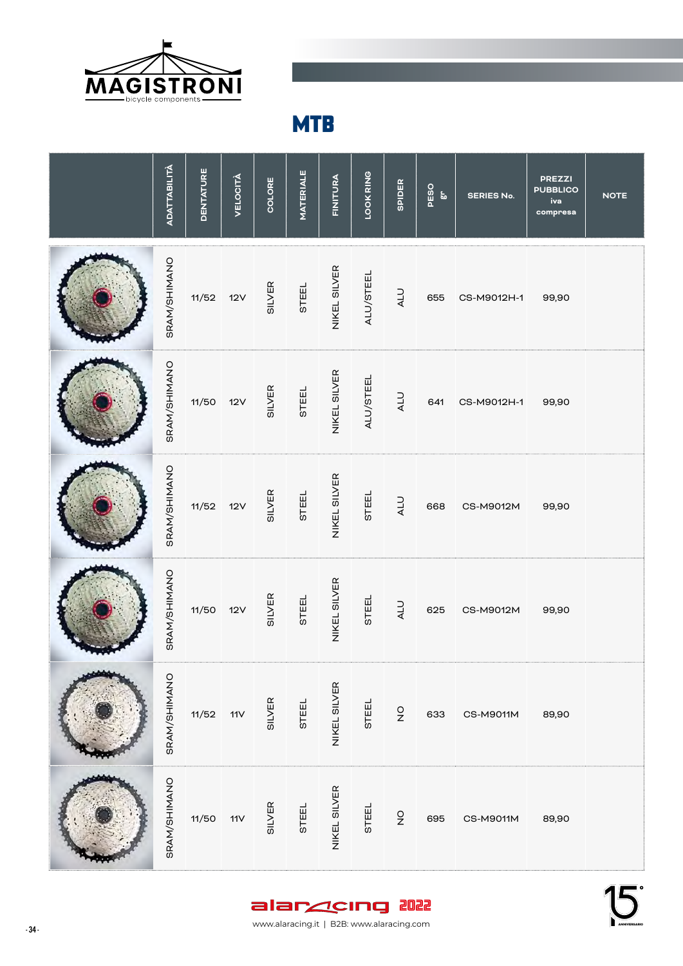

| <b>ADATTABILITÀ</b> | <b>DENTATURE</b> | <b>VELOCITÀ</b> | COLORE | <b>MATERIALE</b> | FINITURA     | LOOK RING | <b>SPIDER</b> | PESO<br>gr | <b>SERIES No.</b> | <b>PREZZI</b><br><b>PUBBLICO</b><br>iva<br>compresa | <b>NOTE</b> |
|---------------------|------------------|-----------------|--------|------------------|--------------|-----------|---------------|------------|-------------------|-----------------------------------------------------|-------------|
| SRAM/SHIMANO        | 11/52            | 12V             | SILVER | STEEL            | NIKEL SILVER | ALU/STEEL | ALU           | 655        | CS-M9012H-1       | 99,90                                               |             |
| SRAM/SHIMANO        | 11/50            | 12V             | SILVER | STEEL            | NIKEL SILVER | ALU/STEEL | ALU           | 641        | CS-M9012H-1       | 99,90                                               |             |
| SRAM/SHIMANO        | 11/52            | 12V             | SILVER | STEEL            | NIKEL SILVER | STEEL     | ALU           | 668        | CS-M9012M         | 99,90                                               |             |
| SRAM/SHIMANO        | 11/50            | 12V             | SILVER | STEEL            | NIKEL SILVER | STEEL     | <b>ALU</b>    | 625        | CS-M9012M         | 99,90                                               |             |
| SRAM/SHIMANO        | $11/52$ 11V      |                 | SILVER | STEEL            | NIKEL SILVER | STEEL     | $\frac{0}{2}$ | 633        | CS-M9011M         | 89,90                                               |             |
| SRAM/SHIMANO        | 11/50            | 11V             | SILVER | <b>STEEL</b>     | NIKEL SILVER | STEEL     | $\frac{0}{2}$ | 695        | <b>CS-M9011M</b>  | 89,90                                               |             |





- 34 - 34 - www.alaracing.it | B2B: www.alaracing.com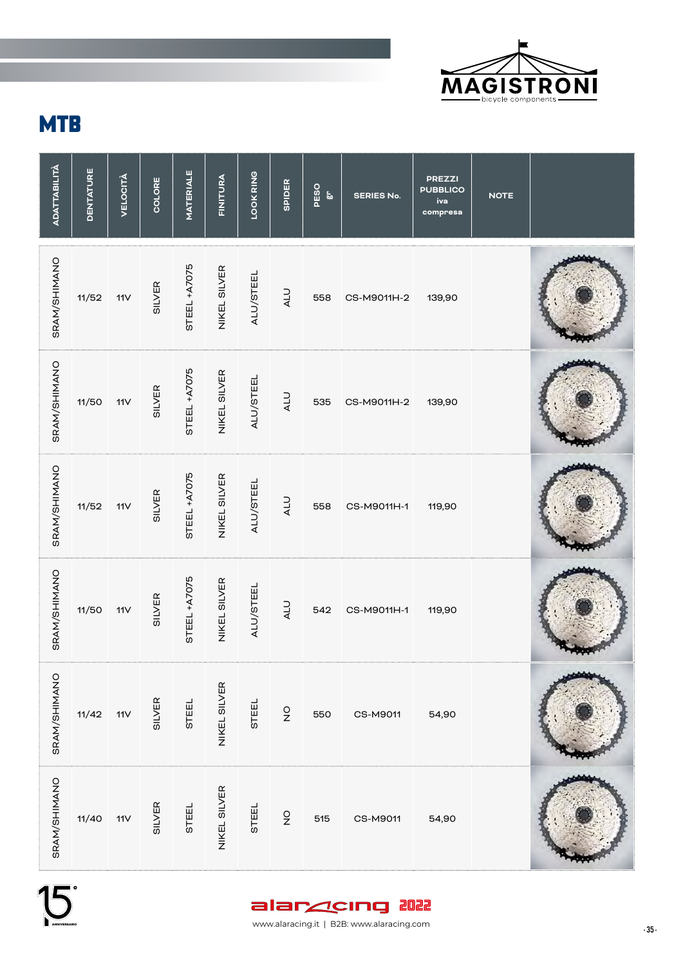

| <b>ADATTABILITÀ</b> | <b>DENTATURE</b> | VELOCITÀ | COLORE | <b>MATERIALE</b> | FINITURA     | LOOK RING    | <b>SPIDER</b>                   | PESO<br>$\frac{\epsilon}{60}$ | <b>SERIES No.</b> | <b>PREZZI</b><br><b>PUBBLICO</b><br>iva<br>compresa | <b>NOTE</b> |  |
|---------------------|------------------|----------|--------|------------------|--------------|--------------|---------------------------------|-------------------------------|-------------------|-----------------------------------------------------|-------------|--|
| SRAM/SHIMANO        | 11/52            | 11V      | SILVER | STEEL +A7075     | NIKEL SILVER | ALU/STEEL    | ALU                             | 558                           | CS-M9011H-2       | 139,90                                              |             |  |
| SRAM/SHIMANO        | 11/50            | 11V      | SILVER | STEEL +A7075     | NIKEL SILVER | ALU/STEEL    | ALU                             | 535                           | CS-M9011H-2       | 139,90                                              |             |  |
| SRAM/SHIMANO        | 11/52            | 11V      | SILVER | STEEL +A7075     | NIKEL SILVER | ALU/STEEL    | ALU                             | 558                           | CS-M9011H-1       | 119,90                                              |             |  |
| SRAM/SHIMANO        | 11/50            | 11V      | SILVER | STEEL +A7075     | NIKEL SILVER | ALU/STEEL    | ALU                             | 542                           | CS-M9011H-1       | 119,90                                              |             |  |
| SRAM/SHIMANO        | 11/42            | 11V      | SILVER | STEEL            | NIKEL SILVER | <b>STEEL</b> | $\frac{0}{2}$                   | 550                           | CS-M9011          | 54,90                                               |             |  |
| SRAM/SHIMANO        | 11/40            | 11V      | SILVER | STEEL            | NIKEL SILVER | STEEL        | $\frac{\mathsf{O}}{\mathsf{Z}}$ | 515                           | CS-M9011          | 54,90                                               |             |  |





- 35 - www.alaracing.it | B2B: www.alaracing.com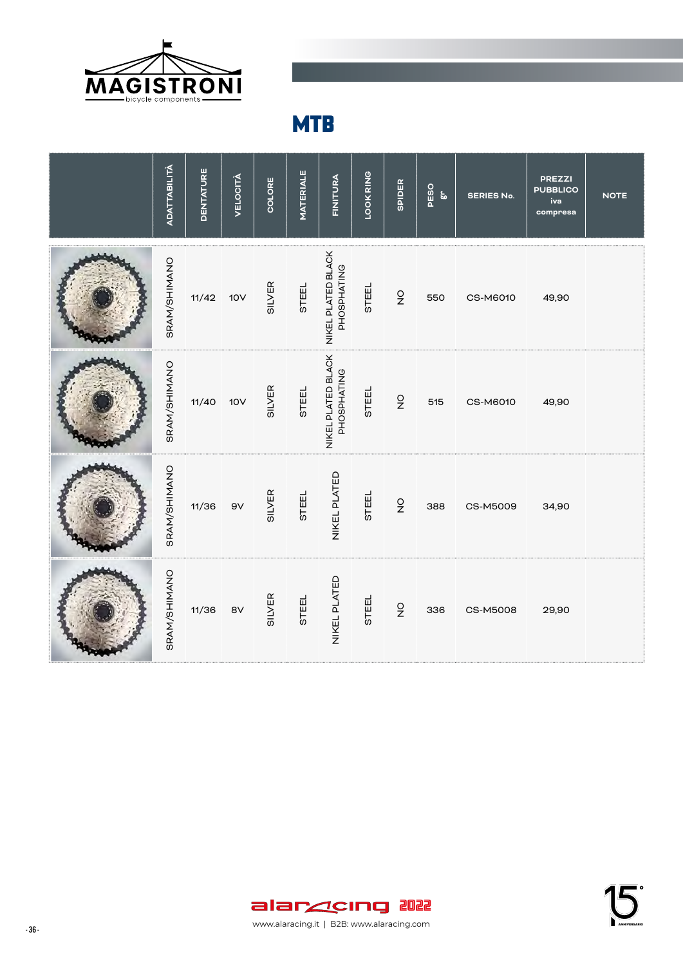

| <b>ADATTABILITÀ</b> | <b>DENTATURE</b> | VELOCITÀ      | COLORE        | MATERIALE    | FINITURA                          | <b>LOOK RING</b> | <b>SPIDER</b>                   | PESO<br>$\overleftarrow{\mathbf{g}}$ | <b>SERIES No.</b> | <b>PREZZI</b><br><b>PUBBLICO</b><br>iva<br>compresa | <b>NOTE</b> |
|---------------------|------------------|---------------|---------------|--------------|-----------------------------------|------------------|---------------------------------|--------------------------------------|-------------------|-----------------------------------------------------|-------------|
| SRAM/SHIMANO        | 11/42            | 10V           | <b>SILVER</b> | <b>STEEL</b> | NIKEL PLATED BLACK<br>PHOSPHATING | STEEL            | $\frac{\mathsf{O}}{\mathsf{Z}}$ | 550                                  | <b>CS-M6010</b>   | 49,90                                               |             |
| SRAM/SHIMANO        | 11/40            | 10V           | <b>SILVER</b> | STEEL        | NIKEL PLATED BLACK<br>PHOSPHATING | STEEL            | $\frac{0}{2}$                   | 515                                  | CS-M6010          | 49,90                                               |             |
| SRAM/SHIMANO        | 11/36            | $9\mathrm{V}$ | <b>SILVER</b> | STEEL        | NIKEL PLATED                      | STEEL            | $\frac{\mathsf{O}}{\mathsf{Z}}$ | 388                                  | CS-M5009          | 34,90                                               |             |
| SRAM/SHIMANO        | 11/36            | 8V            | SILVER        | STEEL        | NIKEL PLATED                      | STEEL            | $\frac{0}{2}$                   | 336                                  | CS-M5008          | 29,90                                               |             |



- 36 - www.alaracing.it | B2B: www.alaracing.com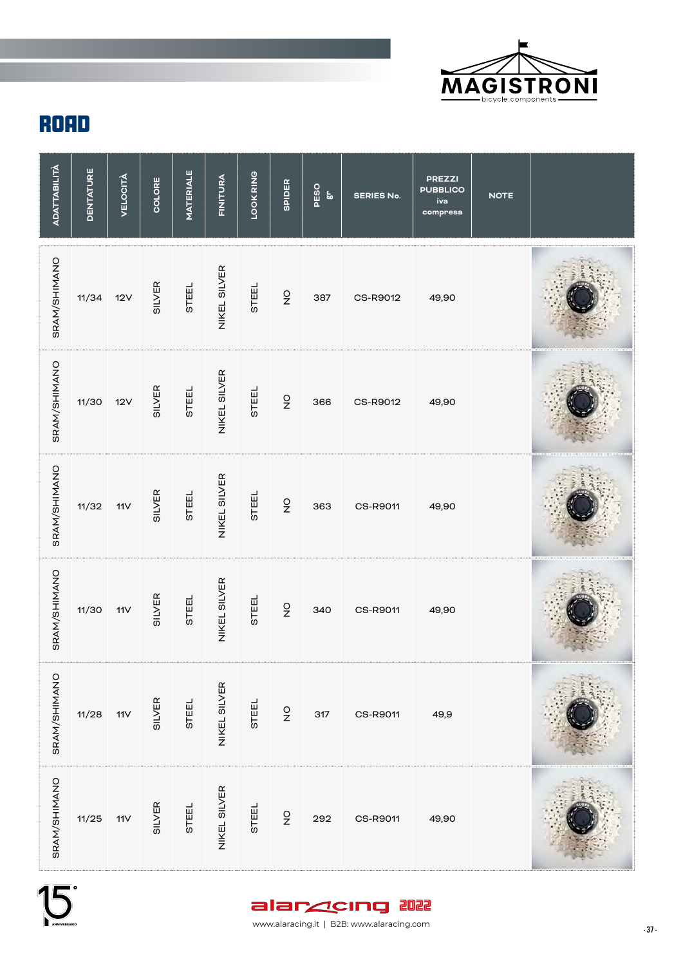

## **ROAD**

| <b>ADATTABILITÀ</b> | <b>DENTATURE</b> | VELOCITÀ | COLORE        | MATERIALE    | FINITURA     | LOOK RING | <b>SPIDER</b>                     | PESO<br>$\frac{\epsilon}{60}$ | <b>SERIES No.</b> | <b>PREZZI</b><br><b>PUBBLICO</b><br>iva<br>compresa | <b>NOTE</b> |  |
|---------------------|------------------|----------|---------------|--------------|--------------|-----------|-----------------------------------|-------------------------------|-------------------|-----------------------------------------------------|-------------|--|
| SRAM/SHIMANO        | 11/34            | 12V      | SILVER        | <b>STEEL</b> | NIKEL SILVER | STEEL     | $\frac{\mathsf{O}}{\mathsf{Z}}$   | 387                           | CS-R9012          | 49,90                                               |             |  |
| SRAM/SHIMANO        | 11/30            | 12V      | SILVER        | STEEL        | NIKEL SILVER | STEEL     | $\frac{0}{Z}$                     | 366                           | CS-R9012          | 49,90                                               |             |  |
| SRAM/SHIMANO        | 11/32            | 11V      | SILVER        | STEEL        | NIKEL SILVER | STEEL     | $\frac{0}{2}$                     | 363                           | CS-R9011          | 49,90                                               |             |  |
| SRAM/SHIMANO        | 11/30            | 11V      | <b>SILVER</b> | STEEL        | NIKEL SILVER | STEEL     | $\frac{\mathsf{O}}{\mathsf{Z}}$   | 340                           | CS-R9011          | 49,90                                               |             |  |
| SRAM/SHIMANO        | 11/28            | 11V      | <b>SILVER</b> | STEEL        | NIKEL SILVER | STEEL     | $\frac{0}{2}$                     | 317                           | CS-R9011          | 49,9                                                |             |  |
| SRAM/SHIMANO        | 11/25            | 11V      | SILVER        | STEEL        | NIKEL SILVER | STEEL     | $\frac{{\mathsf O}}{{\mathsf Z}}$ | 292                           | CS-R9011          | 49,90                                               |             |  |





- www.alaracing.it | B2B: www.alaracing.com